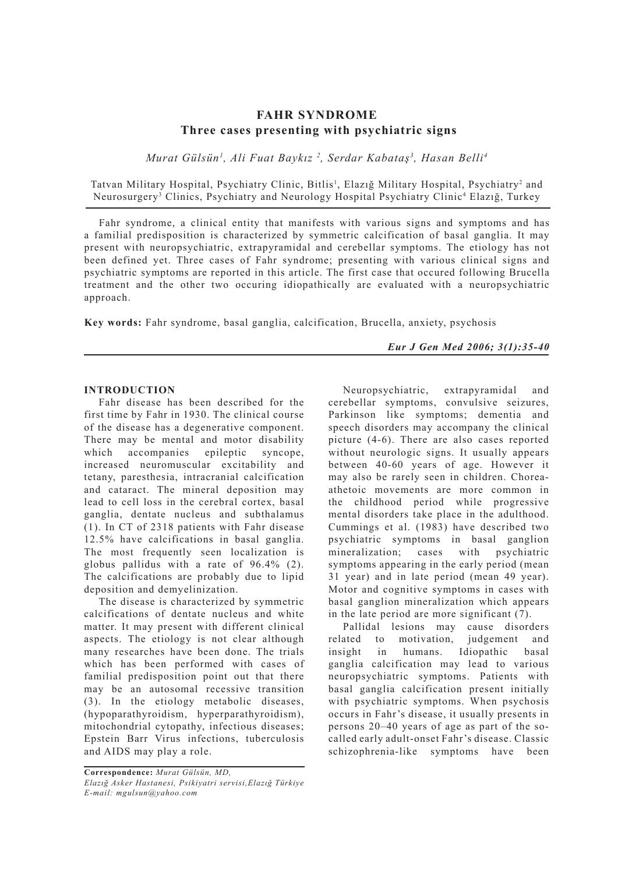# **FAHR SYNDROME Three cases presenting with psychiatric signs**

*Murat Gülsün1 , Ali Fuat Baykız 2 , Serdar Kabataş3 , Hasan Belli4*

Tatvan Military Hospital, Psychiatry Clinic, Bitlis<sup>1</sup>, Elazığ Military Hospital, Psychiatry<sup>2</sup> and Neurosurgery<sup>3</sup> Clinics, Psychiatry and Neurology Hospital Psychiatry Clinic<sup>4</sup> Elazığ, Turkey

Fahr syndrome, a clinical entity that manifests with various signs and symptoms and has a familial predisposition is characterized by symmetric calcification of basal ganglia. It may present with neuropsychiatric, extrapyramidal and cerebellar symptoms. The etiology has not been defined yet. Three cases of Fahr syndrome; presenting with various clinical signs and psychiatric symptoms are reported in this article. The first case that occured following Brucella treatment and the other two occuring idiopathically are evaluated with a neuropsychiatric approach.

**Key words:** Fahr syndrome, basal ganglia, calcification, Brucella, anxiety, psychosis

*Eur J Gen Med 2006; 3(1):35-40*

## **INTRODUCTION**

Fahr disease has been described for the first time by Fahr in 1930. The clinical course of the disease has a degenerative component. There may be mental and motor disability which accompanies epileptic syncope, increased neuromuscular excitability and tetany, paresthesia, intracranial calcification and cataract. The mineral deposition may lead to cell loss in the cerebral cortex, basal ganglia, dentate nucleus and subthalamus (1). In CT of 2318 patients with Fahr disease 12.5% have calcifications in basal ganglia. The most frequently seen localization is globus pallidus with a rate of 96.4% (2). The calcifications are probably due to lipid deposition and demyelinization.

The disease is characterized by symmetric calcifications of dentate nucleus and white matter. It may present with different clinical aspects. The etiology is not clear although many researches have been done. The trials which has been performed with cases of familial predisposition point out that there may be an autosomal recessive transition (3). In the etiology metabolic diseases, (hypoparathyroidism, hyperparathyroidism), mitochondrial cytopathy, infectious diseases; Epstein Barr Virus infections, tuberculosis and AIDS may play a role.

Neuropsychiatric, extrapyramidal and cerebellar symptoms, convulsive seizures, Parkinson like symptoms; dementia and speech disorders may accompany the clinical picture (4-6). There are also cases reported without neurologic signs. It usually appears between 40-60 years of age. However it may also be rarely seen in children. Choreaathetoic movements are more common in the childhood period while progressive mental disorders take place in the adulthood. Cummings et al. (1983) have described two psychiatric symptoms in basal ganglion mineralization; cases with psychiatric symptoms appearing in the early period (mean 31 year) and in late period (mean 49 year). Motor and cognitive symptoms in cases with basal ganglion mineralization which appears in the late period are more significant (7).

Pallidal lesions may cause disorders related to motivation, judgement and insight in humans. Idiopathic basal ganglia calcification may lead to various neuropsychiatric symptoms. Patients with basal ganglia calcification present initially with psychiatric symptoms. When psychosis occurs in Fahr's disease, it usually presents in persons 20–40 years of age as part of the socalled early adult-onset Fahr's disease. Classic schizophrenia-like symptoms have been

**Correspondence:** *Murat Gülsün, MD, Elazığ Asker Hastanesi, Psikiyatri servisi,Elazığ Türkiye E-mail: mgulsun@yahoo.com*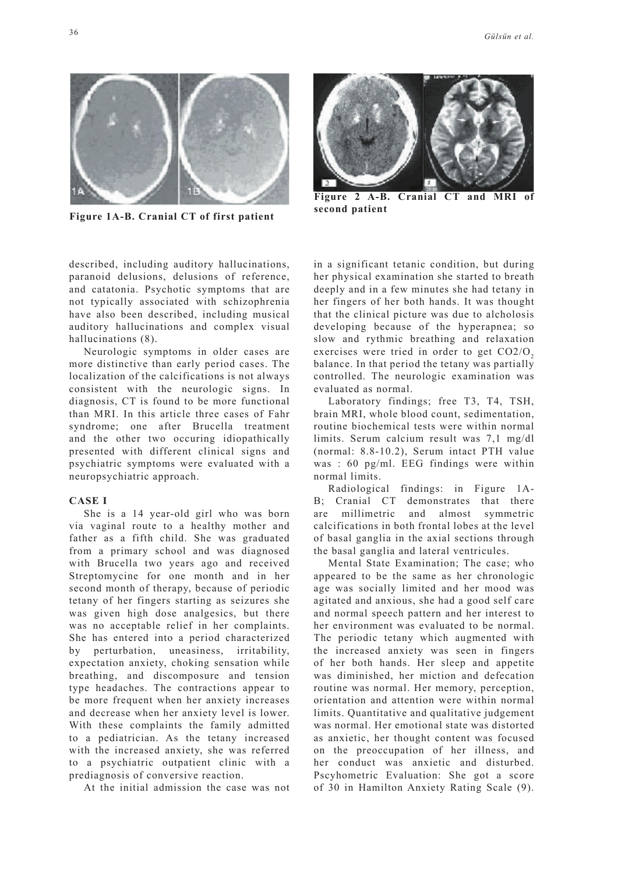

**Figure 1A-B. Cranial CT of first patient**

described, including auditory hallucinations, paranoid delusions, delusions of reference, and catatonia. Psychotic symptoms that are not typically associated with schizophrenia have also been described, including musical auditory hallucinations and complex visual hallucinations (8).

Neurologic symptoms in older cases are more distinctive than early period cases. The localization of the calcifications is not always consistent with the neurologic signs. In diagnosis, CT is found to be more functional than MRI. In this article three cases of Fahr syndrome; one after Brucella treatment and the other two occuring idiopathically presented with different clinical signs and psychiatric symptoms were evaluated with a neuropsychiatric approach.

#### **CASE I**

She is a 14 year-old girl who was born via vaginal route to a healthy mother and father as a fifth child. She was graduated from a primary school and was diagnosed with Brucella two years ago and received Streptomycine for one month and in her second month of therapy, because of periodic tetany of her fingers starting as seizures she was given high dose analgesics, but there was no acceptable relief in her complaints. She has entered into a period characterized by perturbation, uneasiness, irritability, expectation anxiety, choking sensation while breathing, and discomposure and tension type headaches. The contractions appear to be more frequent when her anxiety increases and decrease when her anxiety level is lower. With these complaints the family admitted to a pediatrician. As the tetany increased with the increased anxiety, she was referred to a psychiatric outpatient clinic with a prediagnosis of conversive reaction.

At the initial admission the case was not



**Figure 2 A-B. Cranial CT and MRI of second patient**

in a significant tetanic condition, but during her physical examination she started to breath deeply and in a few minutes she had tetany in her fingers of her both hands. It was thought that the clinical picture was due to alcholosis developing because of the hyperapnea; so slow and rythmic breathing and relaxation exercises were tried in order to get  $CO<sub>2</sub>/O<sub>2</sub>$ balance. In that period the tetany was partially controlled. The neurologic examination was evaluated as normal.

Laboratory findings; free T3, T4, TSH, brain MRI, whole blood count, sedimentation, routine biochemical tests were within normal limits. Serum calcium result was 7,1 mg/dl (normal: 8.8-10.2), Serum intact PTH value was : 60 pg/ml. EEG findings were within normal limits.

Radiological findings: in Figure 1A-B; Cranial CT demonstrates that there are millimetric and almost symmetric calcifications in both frontal lobes at the level of basal ganglia in the axial sections through the basal ganglia and lateral ventricules.

Mental State Examination; The case; who appeared to be the same as her chronologic age was socially limited and her mood was agitated and anxious, she had a good self care and normal speech pattern and her interest to her environment was evaluated to be normal. The periodic tetany which augmented with the increased anxiety was seen in fingers of her both hands. Her sleep and appetite was diminished, her miction and defecation routine was normal. Her memory, perception, orientation and attention were within normal limits. Quantitative and qualitative judgement was normal. Her emotional state was distorted as anxietic, her thought content was focused on the preoccupation of her illness, and her conduct was anxietic and disturbed. Pscyhometric Evaluation: She got a score of 30 in Hamilton Anxiety Rating Scale (9).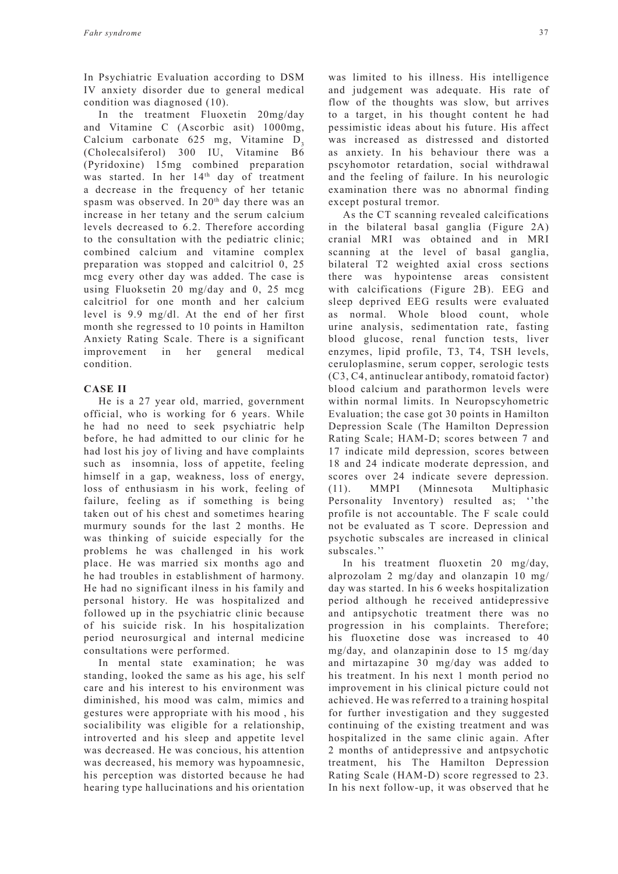In Psychiatric Evaluation according to DSM IV anxiety disorder due to general medical condition was diagnosed (10).

In the treatment Fluoxetin 20mg/day and Vitamine C (Ascorbic asit) 1000mg, Calcium carbonate 625 mg, Vitamine  $D_3$ (Cholecalsiferol) 300 IU, Vitamine B6 (Pyridoxine) 15mg combined preparation was started. In her 14<sup>th</sup> day of treatment a decrease in the frequency of her tetanic spasm was observed. In 20<sup>th</sup> day there was an increase in her tetany and the serum calcium levels decreased to 6.2. Therefore according to the consultation with the pediatric clinic; combined calcium and vitamine complex preparation was stopped and calcitriol 0, 25 mcg every other day was added. The case is using Fluoksetin 20 mg/day and 0, 25 mcg calcitriol for one month and her calcium level is 9.9 mg/dl. At the end of her first month she regressed to 10 points in Hamilton Anxiety Rating Scale. There is a significant improvement in her general medical condition.

## **CASE II**

He is a 27 year old, married, government official, who is working for 6 years. While he had no need to seek psychiatric help before, he had admitted to our clinic for he had lost his joy of living and have complaints such as insomnia, loss of appetite, feeling himself in a gap, weakness, loss of energy, loss of enthusiasm in his work, feeling of failure, feeling as if something is being taken out of his chest and sometimes hearing murmury sounds for the last 2 months. He was thinking of suicide especially for the problems he was challenged in his work place. He was married six months ago and he had troubles in establishment of harmony. He had no significant ilness in his family and personal history. He was hospitalized and followed up in the psychiatric clinic because of his suicide risk. In his hospitalization period neurosurgical and internal medicine consultations were performed.

In mental state examination; he was standing, looked the same as his age, his self care and his interest to his environment was diminished, his mood was calm, mimics and gestures were appropriate with his mood , his socialibility was eligible for a relationship, introverted and his sleep and appetite level was decreased. He was concious, his attention was decreased, his memory was hypoamnesic, his perception was distorted because he had hearing type hallucinations and his orientation was limited to his illness. His intelligence and judgement was adequate. His rate of flow of the thoughts was slow, but arrives to a target, in his thought content he had pessimistic ideas about his future. His affect was increased as distressed and distorted as anxiety. In his behaviour there was a pscyhomotor retardation, social withdrawal and the feeling of failure. In his neurologic examination there was no abnormal finding except postural tremor.

As the CT scanning revealed calcifications in the bilateral basal ganglia (Figure 2A) cranial MRI was obtained and in MRI scanning at the level of basal ganglia, bilateral T2 weighted axial cross sections there was hypointense areas consistent with calcifications (Figure 2B). EEG and sleep deprived EEG results were evaluated as normal. Whole blood count, whole urine analysis, sedimentation rate, fasting blood glucose, renal function tests, liver enzymes, lipid profile, T3, T4, TSH levels, ceruloplasmine, serum copper, serologic tests (C3, C4, antinuclear antibody, romatoid factor) blood calcium and parathormon levels were within normal limits. In Neuropscyhometric Evaluation; the case got 30 points in Hamilton Depression Scale (The Hamilton Depression Rating Scale; HAM-D; scores between 7 and 17 indicate mild depression, scores between 18 and 24 indicate moderate depression, and scores over 24 indicate severe depression. (11). MMPI (Minnesota Multiphasic Personality Inventory) resulted as; ''the profile is not accountable. The F scale could not be evaluated as T score. Depression and psychotic subscales are increased in clinical subscales.''

In his treatment fluoxetin 20 mg/day, alprozolam 2 mg/day and olanzapin 10 mg/ day was started. In his 6 weeks hospitalization period although he received antidepressive and antipsychotic treatment there was no progression in his complaints. Therefore; his fluoxetine dose was increased to 40 mg/day, and olanzapinin dose to 15 mg/day and mirtazapine 30 mg/day was added to his treatment. In his next 1 month period no improvement in his clinical picture could not achieved. He was referred to a training hospital for further investigation and they suggested continuing of the existing treatment and was hospitalized in the same clinic again. After 2 months of antidepressive and antpsychotic treatment, his The Hamilton Depression Rating Scale (HAM-D) score regressed to 23. In his next follow-up, it was observed that he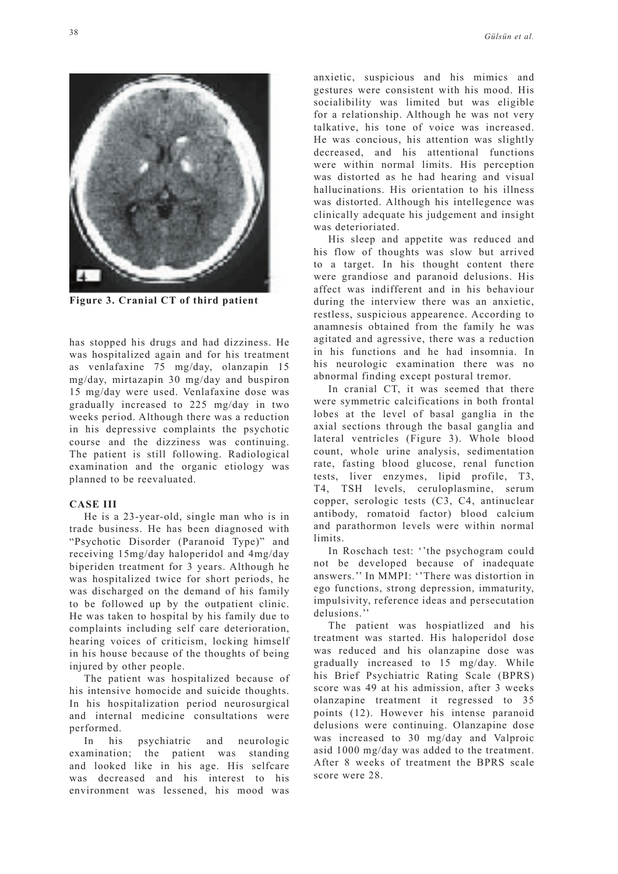

**Figure 3. Cranial CT of third patient**

has stopped his drugs and had dizziness. He was hospitalized again and for his treatment as venlafaxine 75 mg/day, olanzapin 15 mg/day, mirtazapin 30 mg/day and buspiron 15 mg/day were used. Venlafaxine dose was gradually increased to 225 mg/day in two weeks period. Although there was a reduction in his depressive complaints the psychotic course and the dizziness was continuing. The patient is still following. Radiological examination and the organic etiology was planned to be reevaluated.

## **CASE III**

He is a 23-year-old, single man who is in trade business. He has been diagnosed with "Psychotic Disorder (Paranoid Type)" and receiving 15mg/day haloperidol and 4mg/day biperiden treatment for 3 years. Although he was hospitalized twice for short periods, he was discharged on the demand of his family to be followed up by the outpatient clinic. He was taken to hospital by his family due to complaints including self care deterioration, hearing voices of criticism, locking himself in his house because of the thoughts of being injured by other people.

The patient was hospitalized because of his intensive homocide and suicide thoughts. In his hospitalization period neurosurgical and internal medicine consultations were performed.

In his psychiatric and neurologic examination; the patient was standing and looked like in his age. His selfcare was decreased and his interest to his environment was lessened, his mood was anxietic, suspicious and his mimics and gestures were consistent with his mood. His socialibility was limited but was eligible for a relationship. Although he was not very talkative, his tone of voice was increased. He was concious, his attention was slightly decreased, and his attentional functions were within normal limits. His perception was distorted as he had hearing and visual hallucinations. His orientation to his illness was distorted. Although his intellegence was clinically adequate his judgement and insight was deterioriated.

His sleep and appetite was reduced and his flow of thoughts was slow but arrived to a target. In his thought content there were grandiose and paranoid delusions. His affect was indifferent and in his behaviour during the interview there was an anxietic, restless, suspicious appearence. According to anamnesis obtained from the family he was agitated and agressive, there was a reduction in his functions and he had insomnia. In his neurologic examination there was no abnormal finding except postural tremor.

In cranial CT, it was seemed that there were symmetric calcifications in both frontal lobes at the level of basal ganglia in the axial sections through the basal ganglia and lateral ventricles (Figure 3). Whole blood count, whole urine analysis, sedimentation rate, fasting blood glucose, renal function tests, liver enzymes, lipid profile, T3, T4, TSH levels, ceruloplasmine, serum copper, serologic tests (C3, C4, antinuclear antibody, romatoid factor) blood calcium and parathormon levels were within normal **limits**.

In Roschach test: ''the psychogram could not be developed because of inadequate answers.'' In MMPI: ''There was distortion in ego functions, strong depression, immaturity, impulsivity, reference ideas and persecutation delusions.''

The patient was hospiatlized and his treatment was started. His haloperidol dose was reduced and his olanzapine dose was gradually increased to 15 mg/day. While his Brief Psychiatric Rating Scale (BPRS) score was 49 at his admission, after 3 weeks olanzapine treatment it regressed to 35 points (12). However his intense paranoid delusions were continuing. Olanzapine dose was increased to 30 mg/day and Valproic asid 1000 mg/day was added to the treatment. After 8 weeks of treatment the BPRS scale score were 28.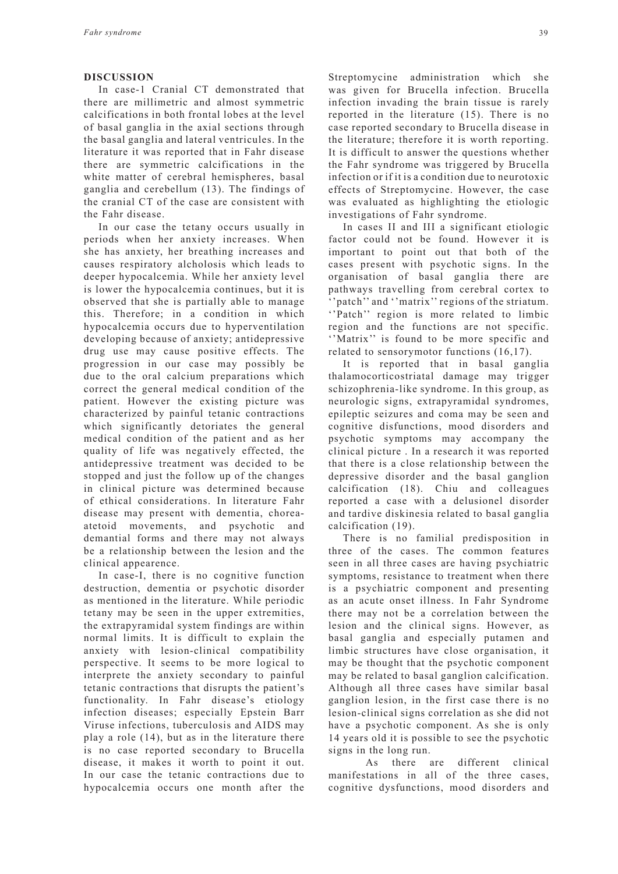#### **DISCUSSION**

In case-1 Cranial CT demonstrated that there are millimetric and almost symmetric calcifications in both frontal lobes at the level of basal ganglia in the axial sections through the basal ganglia and lateral ventricules. In the literature it was reported that in Fahr disease there are symmetric calcifications in the white matter of cerebral hemispheres, basal ganglia and cerebellum (13). The findings of the cranial CT of the case are consistent with the Fahr disease.

In our case the tetany occurs usually in periods when her anxiety increases. When she has anxiety, her breathing increases and causes respiratory alcholosis which leads to deeper hypocalcemia. While her anxiety level is lower the hypocalcemia continues, but it is observed that she is partially able to manage this. Therefore; in a condition in which hypocalcemia occurs due to hyperventilation developing because of anxiety; antidepressive drug use may cause positive effects. The progression in our case may possibly be due to the oral calcium preparations which correct the general medical condition of the patient. However the existing picture was characterized by painful tetanic contractions which significantly detoriates the general medical condition of the patient and as her quality of life was negatively effected, the antidepressive treatment was decided to be stopped and just the follow up of the changes in clinical picture was determined because of ethical considerations. In literature Fahr disease may present with dementia, choreaatetoid movements, and psychotic and demantial forms and there may not always be a relationship between the lesion and the clinical appearence.

In case-I, there is no cognitive function destruction, dementia or psychotic disorder as mentioned in the literature. While periodic tetany may be seen in the upper extremities, the extrapyramidal system findings are within normal limits. It is difficult to explain the anxiety with lesion-clinical compatibility perspective. It seems to be more logical to interprete the anxiety secondary to painful tetanic contractions that disrupts the patient's functionality. In Fahr disease's etiology infection diseases; especially Epstein Barr Viruse infections, tuberculosis and AIDS may play a role (14), but as in the literature there is no case reported secondary to Brucella disease, it makes it worth to point it out. In our case the tetanic contractions due to hypocalcemia occurs one month after the Streptomycine administration which she was given for Brucella infection. Brucella infection invading the brain tissue is rarely reported in the literature (15). There is no case reported secondary to Brucella disease in the literature; therefore it is worth reporting. It is difficult to answer the questions whether the Fahr syndrome was triggered by Brucella infection or if it is a condition due to neurotoxic effects of Streptomycine. However, the case was evaluated as highlighting the etiologic investigations of Fahr syndrome.

In cases II and III a significant etiologic factor could not be found. However it is important to point out that both of the cases present with psychotic signs. In the organisation of basal ganglia there are pathways travelling from cerebral cortex to 'patch'' and ''matrix'' regions of the striatum. ''Patch'' region is more related to limbic region and the functions are not specific. ''Matrix'' is found to be more specific and related to sensorymotor functions (16,17).

It is reported that in basal ganglia thalamocorticostriatal damage may trigger schizophrenia-like syndrome. In this group, as neurologic signs, extrapyramidal syndromes, epileptic seizures and coma may be seen and cognitive disfunctions, mood disorders and psychotic symptoms may accompany the clinical picture . In a research it was reported that there is a close relationship between the depressive disorder and the basal ganglion calcification (18). Chiu and colleagues reported a case with a delusionel disorder and tardive diskinesia related to basal ganglia calcification (19).

There is no familial predisposition in three of the cases. The common features seen in all three cases are having psychiatric symptoms, resistance to treatment when there is a psychiatric component and presenting as an acute onset illness. In Fahr Syndrome there may not be a correlation between the lesion and the clinical signs. However, as basal ganglia and especially putamen and limbic structures have close organisation, it may be thought that the psychotic component may be related to basal ganglion calcification. Although all three cases have similar basal ganglion lesion, in the first case there is no lesion-clinical signs correlation as she did not have a psychotic component. As she is only 14 years old it is possible to see the psychotic signs in the long run.

 As there are different clinical manifestations in all of the three cases, cognitive dysfunctions, mood disorders and